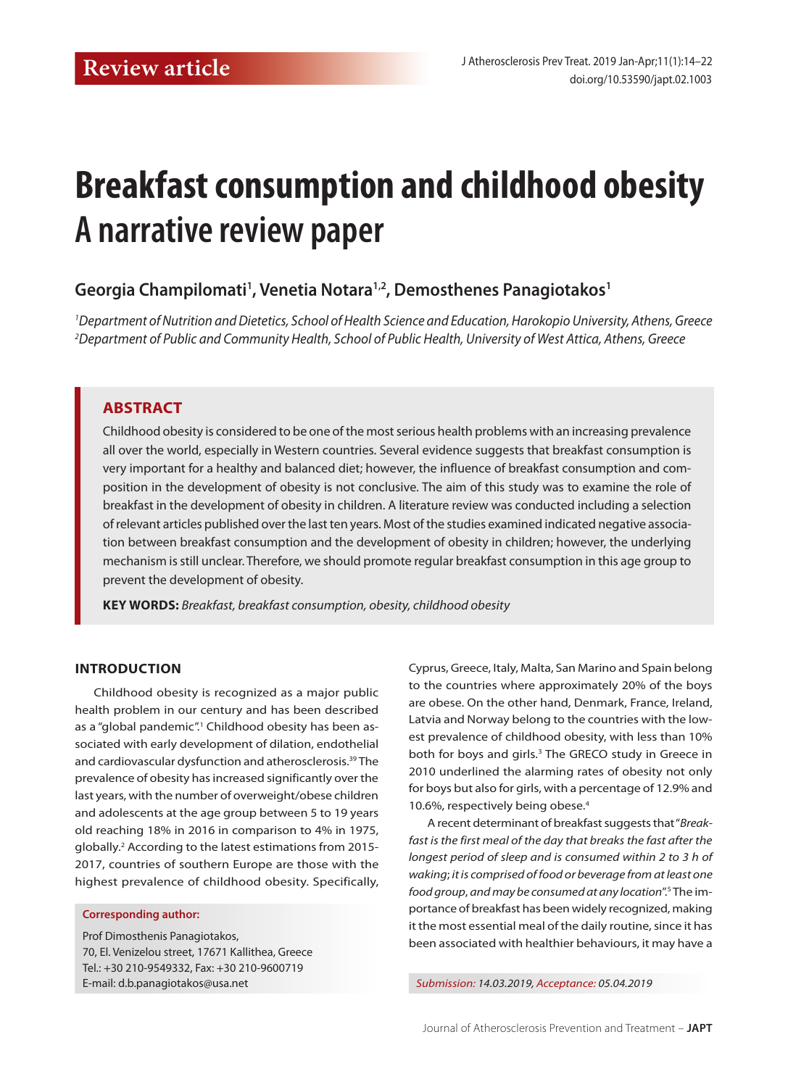# **Breakfast consumption and childhood obesity A narrative review paper**

# **Georgia Champilomati1 , Venetia Notara1,2, Demosthenes Panagiotakos1**

*1 Department of Nutrition and Dietetics, School of Health Science and Education, Harokopio University, Athens, Greece 2 Department of Public and Community Health, School of Public Health, University of West Attica, Athens, Greece*

## **ABSTRACT**

Childhood obesity is considered to be one of the most serious health problems with an increasing prevalence all over the world, especially in Western countries. Several evidence suggests that breakfast consumption is very important for a healthy and balanced diet; however, the influence of breakfast consumption and composition in the development of obesity is not conclusive. The aim of this study was to examine the role of breakfast in the development of obesity in children. A literature review was conducted including a selection of relevant articles published over the last ten years. Most of the studies examined indicated negative association between breakfast consumption and the development of obesity in children; however, the underlying mechanism is still unclear. Therefore, we should promote regular breakfast consumption in this age group to prevent the development of obesity.

**Key words:** *Breakfast, breakfast consumption, obesity, childhood obesity*

## **INTRODUCTION**

Childhood obesity is recognized as a major public health problem in our century and has been described as a "global pandemic".<sup>1</sup> Childhood obesity has been associated with early development of dilation, endothelial and cardiovascular dysfunction and atherosclerosis.39 The prevalence of obesity has increased significantly over the last years, with the number of overweight/obese children and adolescents at the age group between 5 to 19 years old reaching 18% in 2016 in comparison to 4% in 1975, globally.2 According to the latest estimations from 2015- 2017, countries of southern Europe are those with the highest prevalence of childhood obesity. Specifically,

#### **Corresponding author:**

Prof Dimosthenis Panagiotakos, 70, El. Venizelou street, 17671 Kallithea, Greece Tel.: +30 210-9549332, Fax: +30 210-9600719 E-mail: d.b.panagiotakos@usa.net *Submission: 14.03.2019, Acceptance: 05.04.2019*

Cyprus, Greece, Italy, Malta, San Marino and Spain belong to the countries where approximately 20% of the boys are obese. On the other hand, Denmark, France, Ireland, Latvia and Norway belong to the countries with the lowest prevalence of childhood obesity, with less than 10% both for boys and girls.<sup>3</sup> The GRECO study in Greece in 2010 underlined the alarming rates of obesity not only for boys but also for girls, with a percentage of 12.9% and 10.6%, respectively being obese.<sup>4</sup>

A recent determinant of breakfast suggests that "*Breakfast is the first meal of the day that breaks the fast after the longest period of sleep and is consumed within 2 to 3 h of waking*; *it is comprised of food or beverage from at least one food group*, *and may be consumed at any location*".5 The importance of breakfast has been widely recognized, making it the most essential meal of the daily routine, since it has been associated with healthier behaviours, it may have a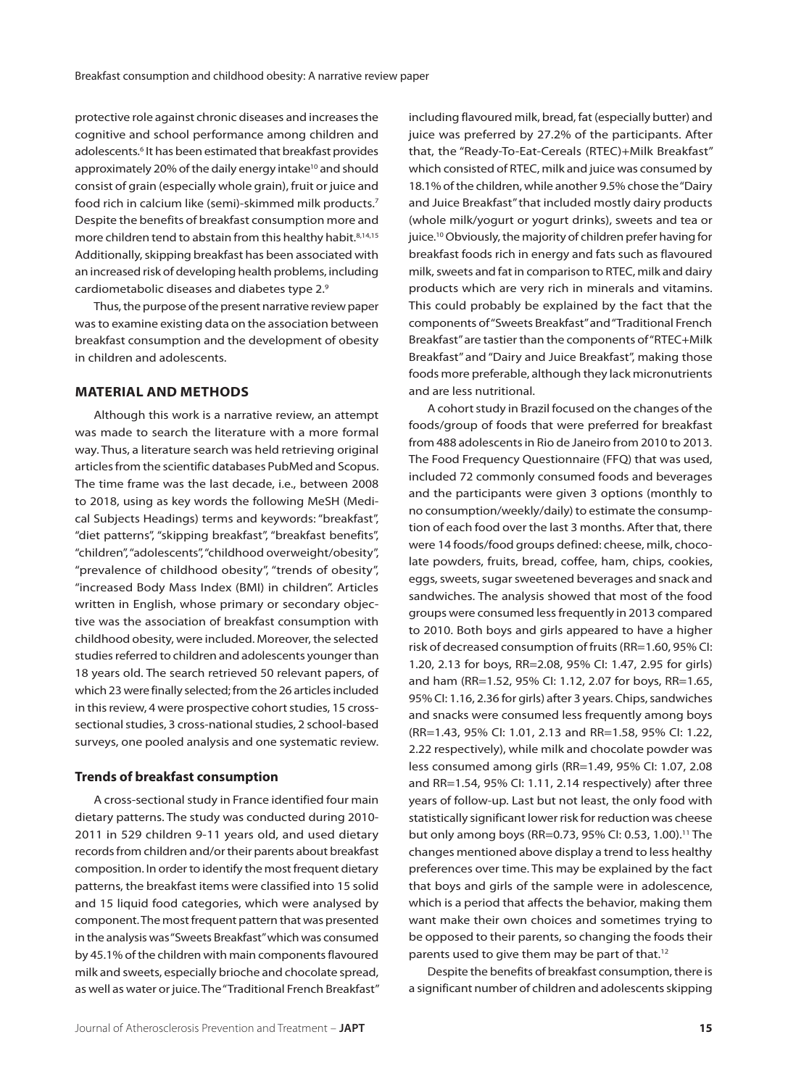protective role against chronic diseases and increases the cognitive and school performance among children and adolescents.6 It has been estimated that breakfast provides approximately 20% of the daily energy intake<sup>10</sup> and should consist of grain (especially whole grain), fruit or juice and food rich in calcium like (semi)-skimmed milk products.7 Despite the benefits of breakfast consumption more and more children tend to abstain from this healthy habit.<sup>8,14,15</sup> Additionally, skipping breakfast has been associated with an increased risk of developing health problems, including cardiometabolic diseases and diabetes type 2.9

Thus, the purpose of the present narrative review paper was to examine existing data on the association between breakfast consumption and the development of obesity in children and adolescents.

## **MATERIAL AND METHODS**

Although this work is a narrative review, an attempt was made to search the literature with a more formal way. Thus, a literature search was held retrieving original articles from the scientific databases PubMed and Scopus. The time frame was the last decade, i.e., between 2008 to 2018, using as key words the following MeSH (Medical Subjects Headings) terms and keywords: "breakfast", "diet patterns", "skipping breakfast", "breakfast benefits", "children", "adolescents", "childhood overweight/obesity", "prevalence of childhood obesity", "trends of obesity", "increased Body Mass Index (BMI) in children". Articles written in English, whose primary or secondary objective was the association of breakfast consumption with childhood obesity, were included. Moreover, the selected studies referred to children and adolescents younger than 18 years old. The search retrieved 50 relevant papers, of which 23 were finally selected; from the 26 articles included in this review, 4 were prospective cohort studies, 15 crosssectional studies, 3 cross-national studies, 2 school-based surveys, one pooled analysis and one systematic review.

#### **Trends of breakfast consumption**

A cross-sectional study in France identified four main dietary patterns. The study was conducted during 2010- 2011 in 529 children 9-11 years old, and used dietary records from children and/or their parents about breakfast composition. In order to identify the most frequent dietary patterns, the breakfast items were classified into 15 solid and 15 liquid food categories, which were analysed by component. The most frequent pattern that was presented in the analysis was "Sweets Breakfast" which was consumed by 45.1% of the children with main components flavoured milk and sweets, especially brioche and chocolate spread, as well as water or juice. The "Traditional French Breakfast" including flavoured milk, bread, fat (especially butter) and juice was preferred by 27.2% of the participants. After that, the "Ready-To-Eat-Cereals (RTEC)+Milk Breakfast" which consisted of RTEC, milk and juice was consumed by 18.1% of the children, while another 9.5% chose the "Dairy and Juice Breakfast" that included mostly dairy products (whole milk/yogurt or yogurt drinks), sweets and tea or juice.10 Obviously, the majority of children prefer having for breakfast foods rich in energy and fats such as flavoured milk, sweets and fat in comparison to RTEC, milk and dairy products which are very rich in minerals and vitamins. This could probably be explained by the fact that the components of "Sweets Breakfast" and "Traditional French Breakfast" are tastier than the components of "RTEC+Milk Breakfast" and "Dairy and Juice Breakfast", making those foods more preferable, although they lack micronutrients and are less nutritional.

A cohort study in Brazil focused on the changes of the foods/group of foods that were preferred for breakfast from 488 adolescents in Rio de Janeiro from 2010 to 2013. The Food Frequency Questionnaire (FFQ) that was used, included 72 commonly consumed foods and beverages and the participants were given 3 options (monthly to no consumption/weekly/daily) to estimate the consumption of each food over the last 3 months. After that, there were 14 foods/food groups defined: cheese, milk, chocolate powders, fruits, bread, coffee, ham, chips, cookies, eggs, sweets, sugar sweetened beverages and snack and sandwiches. The analysis showed that most of the food groups were consumed less frequently in 2013 compared to 2010. Both boys and girls appeared to have a higher risk of decreased consumption of fruits (RR=1.60, 95% CI: 1.20, 2.13 for boys, RR=2.08, 95% CI: 1.47, 2.95 for girls) and ham (RR=1.52, 95% CI: 1.12, 2.07 for boys, RR=1.65, 95% CI: 1.16, 2.36 for girls) after 3 years. Chips, sandwiches and snacks were consumed less frequently among boys (RR=1.43, 95% CI: 1.01, 2.13 and RR=1.58, 95% CI: 1.22, 2.22 respectively), while milk and chocolate powder was less consumed among girls (RR=1.49, 95% CI: 1.07, 2.08 and RR=1.54, 95% CI: 1.11, 2.14 respectively) after three years of follow-up. Last but not least, the only food with statistically significant lower risk for reduction was cheese but only among boys (RR=0.73, 95% CI: 0.53, 1.00).<sup>11</sup> The changes mentioned above display a trend to less healthy preferences over time. This may be explained by the fact that boys and girls of the sample were in adolescence, which is a period that affects the behavior, making them want make their own choices and sometimes trying to be opposed to their parents, so changing the foods their parents used to give them may be part of that.<sup>12</sup>

Despite the benefits of breakfast consumption, there is a significant number of children and adolescents skipping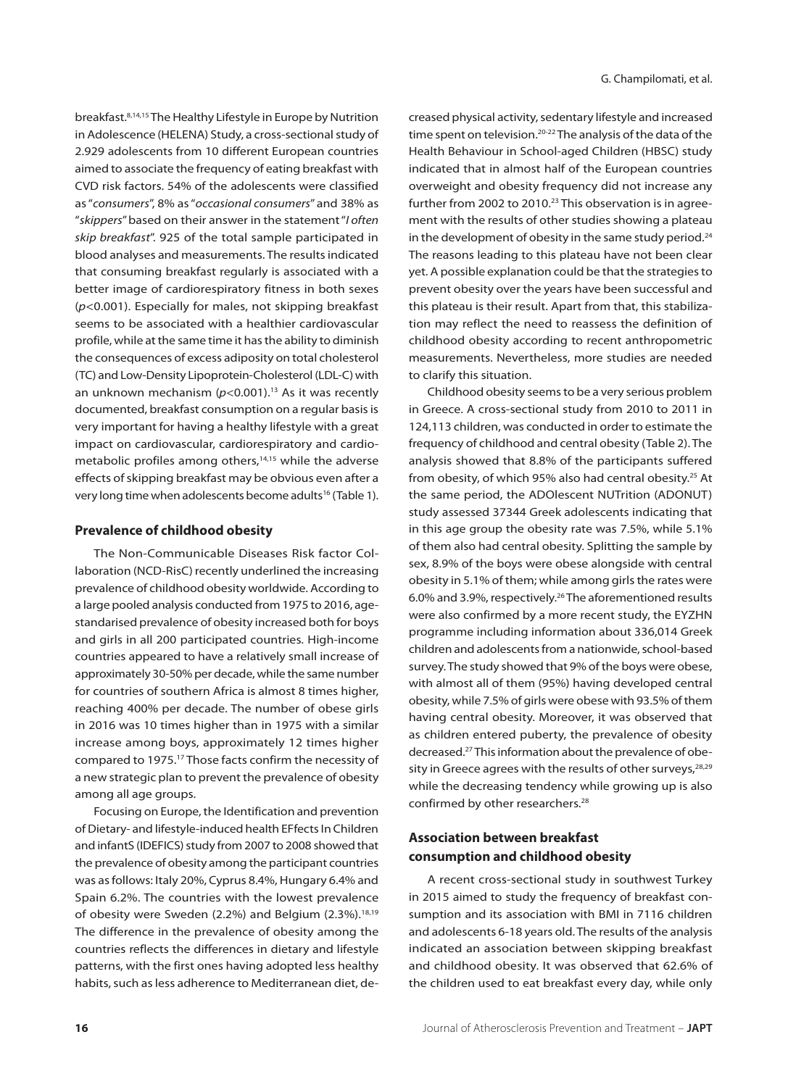breakfast.8,14,15 The Healthy Lifestyle in Europe by Nutrition in Adolescence (HELENA) Study, a cross-sectional study of 2.929 adolescents from 10 different European countries aimed to associate the frequency of eating breakfast with CVD risk factors. 54% of the adolescents were classified as "*consumers*", 8% as "*occasional consumers*" and 38% as "*skippers*" based on their answer in the statement "*I often skip breakfast*". 925 of the total sample participated in blood analyses and measurements. The results indicated that consuming breakfast regularly is associated with a better image of cardiorespiratory fitness in both sexes (*p*<0.001). Especially for males, not skipping breakfast seems to be associated with a healthier cardiovascular profile, while at the same time it has the ability to diminish the consequences of excess adiposity on total cholesterol (TC) and Low-Density Lipoprotein-Cholesterol (LDL-C) with an unknown mechanism  $(p<0.001)$ .<sup>13</sup> As it was recently documented, breakfast consumption on a regular basis is very important for having a healthy lifestyle with a great impact on cardiovascular, cardiorespiratory and cardiometabolic profiles among others,<sup>14,15</sup> while the adverse effects of skipping breakfast may be obvious even after a very long time when adolescents become adults<sup>16</sup> (Table 1).

## **Prevalence of childhood obesity**

The Non-Communicable Diseases Risk factor Collaboration (NCD-RisC) recently underlined the increasing prevalence of childhood obesity worldwide. According to a large pooled analysis conducted from 1975 to 2016, agestandarised prevalence of obesity increased both for boys and girls in all 200 participated countries. High-income countries appeared to have a relatively small increase of approximately 30-50% per decade, while the same number for countries of southern Africa is almost 8 times higher, reaching 400% per decade. The number of obese girls in 2016 was 10 times higher than in 1975 with a similar increase among boys, approximately 12 times higher compared to 1975.17 Those facts confirm the necessity of a new strategic plan to prevent the prevalence of obesity among all age groups.

Focusing on Europe, the Identification and prevention of Dietary- and lifestyle-induced health EFfects In Children and infantS (IDEFICS) study from 2007 to 2008 showed that the prevalence of obesity among the participant countries was as follows: Italy 20%, Cyprus 8.4%, Hungary 6.4% and Spain 6.2%. The countries with the lowest prevalence of obesity were Sweden (2.2%) and Belgium (2.3%).<sup>18,19</sup> The difference in the prevalence of obesity among the countries reflects the differences in dietary and lifestyle patterns, with the first ones having adopted less healthy habits, such as less adherence to Mediterranean diet, decreased physical activity, sedentary lifestyle and increased time spent on television.<sup>20-22</sup> The analysis of the data of the Health Behaviour in School-aged Children (HBSC) study indicated that in almost half of the European countries overweight and obesity frequency did not increase any further from 2002 to 2010.<sup>23</sup> This observation is in agreement with the results of other studies showing a plateau in the development of obesity in the same study period. $24$ The reasons leading to this plateau have not been clear yet. A possible explanation could be that the strategies to prevent obesity over the years have been successful and this plateau is their result. Apart from that, this stabilization may reflect the need to reassess the definition of childhood obesity according to recent anthropometric measurements. Nevertheless, more studies are needed to clarify this situation.

Childhood obesity seems to be a very serious problem in Greece. A cross-sectional study from 2010 to 2011 in 124,113 children, was conducted in order to estimate the frequency of childhood and central obesity (Table 2). The analysis showed that 8.8% of the participants suffered from obesity, of which 95% also had central obesity.<sup>25</sup> At the same period, the ADOlescent NUTrition (ADONUT) study assessed 37344 Greek adolescents indicating that in this age group the obesity rate was 7.5%, while 5.1% of them also had central obesity. Splitting the sample by sex, 8.9% of the boys were obese alongside with central obesity in 5.1% of them; while among girls the rates were 6.0% and 3.9%, respectively.26 The aforementioned results were also confirmed by a more recent study, the EYZHN programme including information about 336,014 Greek children and adolescents from a nationwide, school-based survey. The study showed that 9% of the boys were obese, with almost all of them (95%) having developed central obesity, while 7.5% of girls were obese with 93.5% of them having central obesity. Moreover, it was observed that as children entered puberty, the prevalence of obesity decreased.27 This information about the prevalence of obesity in Greece agrees with the results of other surveys,  $28,29$ while the decreasing tendency while growing up is also confirmed by other researchers.<sup>28</sup>

## **Association between breakfast consumption and childhood obesity**

A recent cross-sectional study in southwest Turkey in 2015 aimed to study the frequency of breakfast consumption and its association with BMI in 7116 children and adolescents 6-18 years old. The results of the analysis indicated an association between skipping breakfast and childhood obesity. It was observed that 62.6% of the children used to eat breakfast every day, while only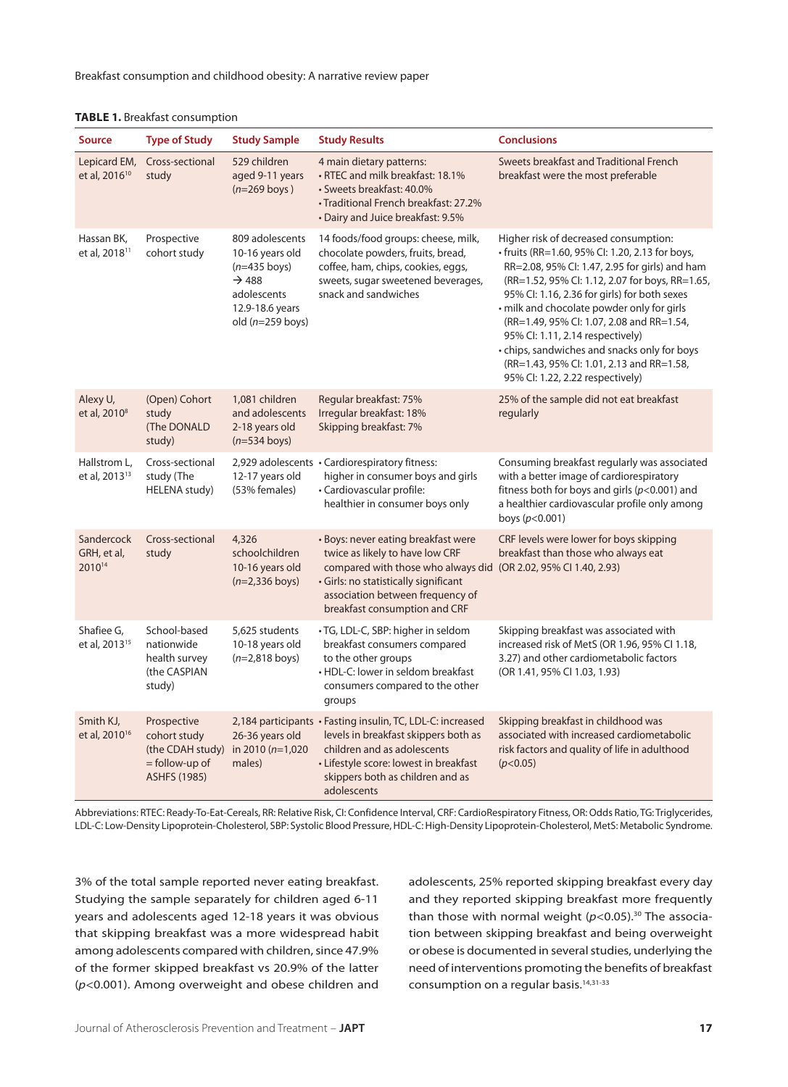Breakfast consumption and childhood obesity: A narrative review paper

|  |  | <b>TABLE 1.</b> Breakfast consumption |
|--|--|---------------------------------------|
|--|--|---------------------------------------|

| <b>Source</b>                             | <b>Type of Study</b>                                                                     | <b>Study Sample</b>                                                                                                               | <b>Study Results</b>                                                                                                                                                                                                                                    | <b>Conclusions</b>                                                                                                                                                                                                                                                                                                                                                                                                                                                                                            |
|-------------------------------------------|------------------------------------------------------------------------------------------|-----------------------------------------------------------------------------------------------------------------------------------|---------------------------------------------------------------------------------------------------------------------------------------------------------------------------------------------------------------------------------------------------------|---------------------------------------------------------------------------------------------------------------------------------------------------------------------------------------------------------------------------------------------------------------------------------------------------------------------------------------------------------------------------------------------------------------------------------------------------------------------------------------------------------------|
| Lepicard EM,<br>et al, 2016 <sup>10</sup> | Cross-sectional<br>study                                                                 | 529 children<br>aged 9-11 years<br>$(n=269$ boys)                                                                                 | 4 main dietary patterns:<br>• RTEC and milk breakfast: 18.1%<br>• Sweets breakfast: 40.0%<br>• Traditional French breakfast: 27.2%<br>• Dairy and Juice breakfast: 9.5%                                                                                 | Sweets breakfast and Traditional French<br>breakfast were the most preferable                                                                                                                                                                                                                                                                                                                                                                                                                                 |
| Hassan BK,<br>et al, 2018 <sup>11</sup>   | Prospective<br>cohort study                                                              | 809 adolescents<br>10-16 years old<br>$(n=435$ boys)<br>$\rightarrow$ 488<br>adolescents<br>12.9-18.6 years<br>old $(n=259$ boys) | 14 foods/food groups: cheese, milk,<br>chocolate powders, fruits, bread,<br>coffee, ham, chips, cookies, eggs,<br>sweets, sugar sweetened beverages,<br>snack and sandwiches                                                                            | Higher risk of decreased consumption:<br>· fruits (RR=1.60, 95% Cl: 1.20, 2.13 for boys,<br>RR=2.08, 95% Cl: 1.47, 2.95 for girls) and ham<br>(RR=1.52, 95% Cl: 1.12, 2.07 for boys, RR=1.65,<br>95% Cl: 1.16, 2.36 for girls) for both sexes<br>· milk and chocolate powder only for girls<br>(RR=1.49, 95% CI: 1.07, 2.08 and RR=1.54,<br>95% Cl: 1.11, 2.14 respectively)<br>• chips, sandwiches and snacks only for boys<br>(RR=1.43, 95% CI: 1.01, 2.13 and RR=1.58,<br>95% CI: 1.22, 2.22 respectively) |
| Alexy U,<br>et al, 2010 <sup>8</sup>      | (Open) Cohort<br>study<br>(The DONALD<br>study)                                          | 1,081 children<br>and adolescents<br>2-18 years old<br>$(n=534$ boys)                                                             | Regular breakfast: 75%<br>Irregular breakfast: 18%<br>Skipping breakfast: 7%                                                                                                                                                                            | 25% of the sample did not eat breakfast<br>regularly                                                                                                                                                                                                                                                                                                                                                                                                                                                          |
| Hallstrom L,<br>et al, 2013 <sup>13</sup> | Cross-sectional<br>study (The<br>HELENA study)                                           | 12-17 years old<br>(53% females)                                                                                                  | 2,929 adolescents • Cardiorespiratory fitness:<br>higher in consumer boys and girls<br>· Cardiovascular profile:<br>healthier in consumer boys only                                                                                                     | Consuming breakfast regularly was associated<br>with a better image of cardiorespiratory<br>fitness both for boys and girls ( $p$ <0.001) and<br>a healthier cardiovascular profile only among<br>boys $(p<0.001)$                                                                                                                                                                                                                                                                                            |
| Sandercock<br>GRH, et al,<br>201014       | Cross-sectional<br>study                                                                 | 4,326<br>schoolchildren<br>10-16 years old<br>$(n=2,336$ boys)                                                                    | · Boys: never eating breakfast were<br>twice as likely to have low CRF<br>compared with those who always did (OR 2.02, 95% CI 1.40, 2.93)<br>· Girls: no statistically significant<br>association between frequency of<br>breakfast consumption and CRF | CRF levels were lower for boys skipping<br>breakfast than those who always eat                                                                                                                                                                                                                                                                                                                                                                                                                                |
| Shafiee G,<br>et al, 2013 <sup>15</sup>   | School-based<br>nationwide<br>health survey<br>(the CASPIAN<br>study)                    | 5,625 students<br>10-18 years old<br>$(n=2,818 \text{ boys})$                                                                     | · TG, LDL-C, SBP: higher in seldom<br>breakfast consumers compared<br>to the other groups<br>• HDL-C: lower in seldom breakfast<br>consumers compared to the other<br>groups                                                                            | Skipping breakfast was associated with<br>increased risk of MetS (OR 1.96, 95% CI 1.18,<br>3.27) and other cardiometabolic factors<br>(OR 1.41, 95% CI 1.03, 1.93)                                                                                                                                                                                                                                                                                                                                            |
| Smith KJ,<br>et al, 2010 <sup>16</sup>    | Prospective<br>cohort study<br>(the CDAH study)<br>= follow-up of<br><b>ASHFS (1985)</b> | 26-36 years old<br>in 2010 (n=1,020<br>males)                                                                                     | 2,184 participants · Fasting insulin, TC, LDL-C: increased<br>levels in breakfast skippers both as<br>children and as adolescents<br>· Lifestyle score: lowest in breakfast<br>skippers both as children and as<br>adolescents                          | Skipping breakfast in childhood was<br>associated with increased cardiometabolic<br>risk factors and quality of life in adulthood<br>(p<0.05)                                                                                                                                                                                                                                                                                                                                                                 |

Abbreviations: RTEC: Ready-To-Eat-Cereals, RR: Relative Risk, CI: Confidence Interval, CRF: CardioRespiratory Fitness, OR: Odds Ratio, TG: Triglycerides, LDL-C: Low-Density Lipoprotein-Cholesterol, SBP: Systolic Blood Pressure, HDL-C: High-Density Lipoprotein-Cholesterol, MetS: Metabolic Syndrome.

3% of the total sample reported never eating breakfast. Studying the sample separately for children aged 6-11 years and adolescents aged 12-18 years it was obvious that skipping breakfast was a more widespread habit among adolescents compared with children, since 47.9% of the former skipped breakfast vs 20.9% of the latter (*p*<0.001). Among overweight and obese children and adolescents, 25% reported skipping breakfast every day and they reported skipping breakfast more frequently than those with normal weight  $(p<0.05)$ .<sup>30</sup> The association between skipping breakfast and being overweight or obese is documented in several studies, underlying the need of interventions promoting the benefits of breakfast consumption on a regular basis.<sup>14,31-33</sup>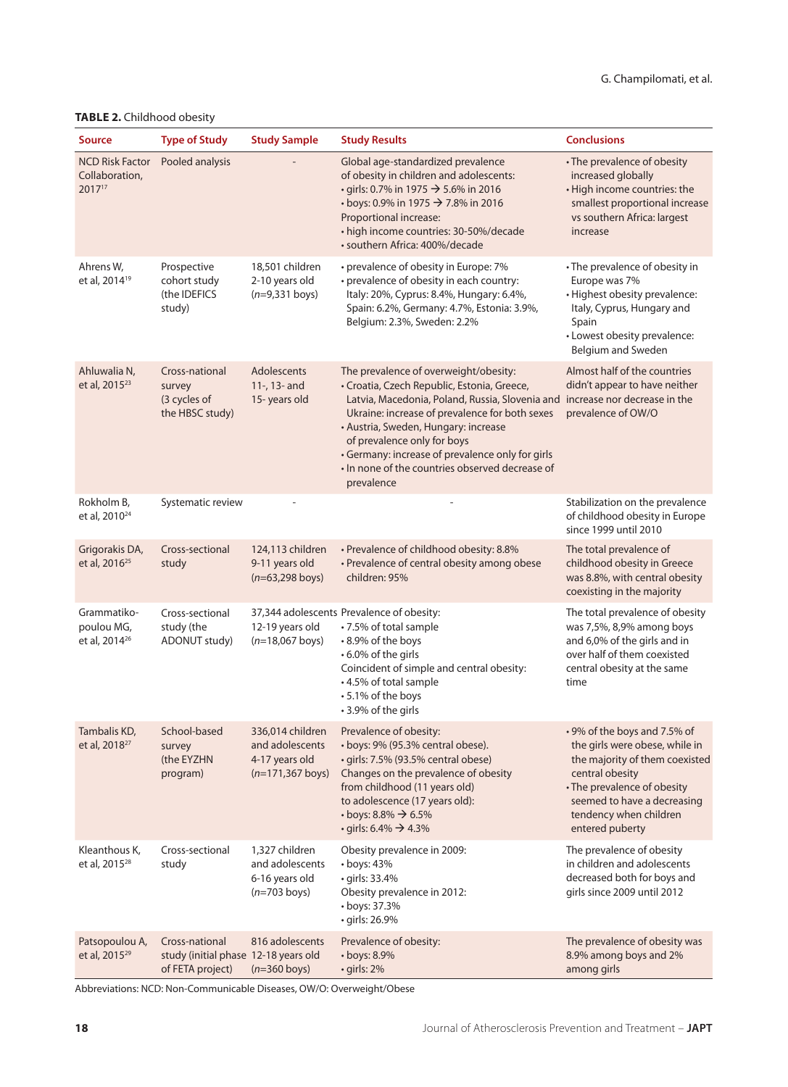## **Table 2.** Childhood obesity

| <b>Source</b>                                          | <b>Type of Study</b>                                                       | <b>Study Sample</b>                                                          | <b>Study Results</b>                                                                                                                                                                                                                                                                                                                                                                  | <b>Conclusions</b>                                                                                                                                                                                                             |
|--------------------------------------------------------|----------------------------------------------------------------------------|------------------------------------------------------------------------------|---------------------------------------------------------------------------------------------------------------------------------------------------------------------------------------------------------------------------------------------------------------------------------------------------------------------------------------------------------------------------------------|--------------------------------------------------------------------------------------------------------------------------------------------------------------------------------------------------------------------------------|
| <b>NCD Risk Factor</b><br>Collaboration,<br>201717     | Pooled analysis                                                            |                                                                              | Global age-standardized prevalence<br>of obesity in children and adolescents:<br>• girls: 0.7% in 1975 → 5.6% in 2016<br>• boys: 0.9% in 1975 → 7.8% in 2016<br>Proportional increase:<br>• high income countries: 30-50%/decade<br>· southern Africa: 400%/decade                                                                                                                    | • The prevalence of obesity<br>increased globally<br>· High income countries: the<br>smallest proportional increase<br>vs southern Africa: largest<br>increase                                                                 |
| Ahrens W,<br>et al, 2014 <sup>19</sup>                 | Prospective<br>cohort study<br>(the IDEFICS<br>study)                      | 18,501 children<br>2-10 years old<br>$(n=9,331$ boys)                        | • prevalence of obesity in Europe: 7%<br>• prevalence of obesity in each country:<br>Italy: 20%, Cyprus: 8.4%, Hungary: 6.4%,<br>Spain: 6.2%, Germany: 4.7%, Estonia: 3.9%,<br>Belgium: 2.3%, Sweden: 2.2%                                                                                                                                                                            | • The prevalence of obesity in<br>Europe was 7%<br>• Highest obesity prevalence:<br>Italy, Cyprus, Hungary and<br>Spain<br>• Lowest obesity prevalence:<br>Belgium and Sweden                                                  |
| Ahluwalia N,<br>et al, 2015 <sup>23</sup>              | Cross-national<br>survey<br>(3 cycles of<br>the HBSC study)                | Adolescents<br>11-, 13- and<br>15-years old                                  | The prevalence of overweight/obesity:<br>· Croatia, Czech Republic, Estonia, Greece,<br>Latvia, Macedonia, Poland, Russia, Slovenia and<br>Ukraine: increase of prevalence for both sexes<br>• Austria, Sweden, Hungary: increase<br>of prevalence only for boys<br>• Germany: increase of prevalence only for girls<br>. In none of the countries observed decrease of<br>prevalence | Almost half of the countries<br>didn't appear to have neither<br>increase nor decrease in the<br>prevalence of OW/O                                                                                                            |
| Rokholm B,<br>et al, 2010 <sup>24</sup>                | Systematic review                                                          |                                                                              |                                                                                                                                                                                                                                                                                                                                                                                       | Stabilization on the prevalence<br>of childhood obesity in Europe<br>since 1999 until 2010                                                                                                                                     |
| Grigorakis DA,<br>et al, 2016 <sup>25</sup>            | Cross-sectional<br>study                                                   | 124,113 children<br>9-11 years old<br>$(n=63,298$ boys)                      | • Prevalence of childhood obesity: 8.8%<br>• Prevalence of central obesity among obese<br>children: 95%                                                                                                                                                                                                                                                                               | The total prevalence of<br>childhood obesity in Greece<br>was 8.8%, with central obesity<br>coexisting in the majority                                                                                                         |
| Grammatiko-<br>poulou MG,<br>et al, 2014 <sup>26</sup> | Cross-sectional<br>study (the<br>ADONUT study)                             | 12-19 years old<br>$(n=18,067$ boys)                                         | 37,344 adolescents Prevalence of obesity:<br>•7.5% of total sample<br>• 8.9% of the boys<br>• 6.0% of the girls<br>Coincident of simple and central obesity:<br>• 4.5% of total sample<br>• 5.1% of the boys<br>• 3.9% of the girls                                                                                                                                                   | The total prevalence of obesity<br>was 7,5%, 8,9% among boys<br>and 6,0% of the girls and in<br>over half of them coexisted<br>central obesity at the same<br>time                                                             |
| Tambalis KD,<br>et al, 2018 <sup>27</sup>              | School-based<br>survey<br>(the EYZHN<br>program)                           | 336,014 children<br>and adolescents<br>4-17 years old<br>$(n=171, 367$ boys) | Prevalence of obesity:<br>· boys: 9% (95.3% central obese).<br>· girls: 7.5% (93.5% central obese)<br>Changes on the prevalence of obesity<br>from childhood (11 years old)<br>to adolescence (17 years old):<br>$\cdot$ boys: 8.8% $\rightarrow$ 6.5%<br>$\cdot$ girls: 6.4% $\rightarrow$ 4.3%                                                                                      | • 9% of the boys and 7.5% of<br>the girls were obese, while in<br>the majority of them coexisted<br>central obesity<br>• The prevalence of obesity<br>seemed to have a decreasing<br>tendency when children<br>entered puberty |
| Kleanthous K,<br>et al, 2015 <sup>28</sup>             | Cross-sectional<br>study                                                   | 1,327 children<br>and adolescents<br>6-16 years old<br>$(n=703$ boys)        | Obesity prevalence in 2009:<br>$\cdot$ boys: 43%<br>· girls: 33.4%<br>Obesity prevalence in 2012:<br>• boys: 37.3%<br>· girls: 26.9%                                                                                                                                                                                                                                                  | The prevalence of obesity<br>in children and adolescents<br>decreased both for boys and<br>girls since 2009 until 2012                                                                                                         |
| Patsopoulou A,<br>et al, 2015 <sup>29</sup>            | Cross-national<br>study (initial phase 12-18 years old<br>of FETA project) | 816 adolescents<br>$(n=360$ boys)                                            | Prevalence of obesity:<br>$\cdot$ boys: 8.9%<br>· girls: 2%                                                                                                                                                                                                                                                                                                                           | The prevalence of obesity was<br>8.9% among boys and 2%<br>among girls                                                                                                                                                         |

Abbreviations: NCD: Non-Communicable Diseases, OW/O: Overweight/Obese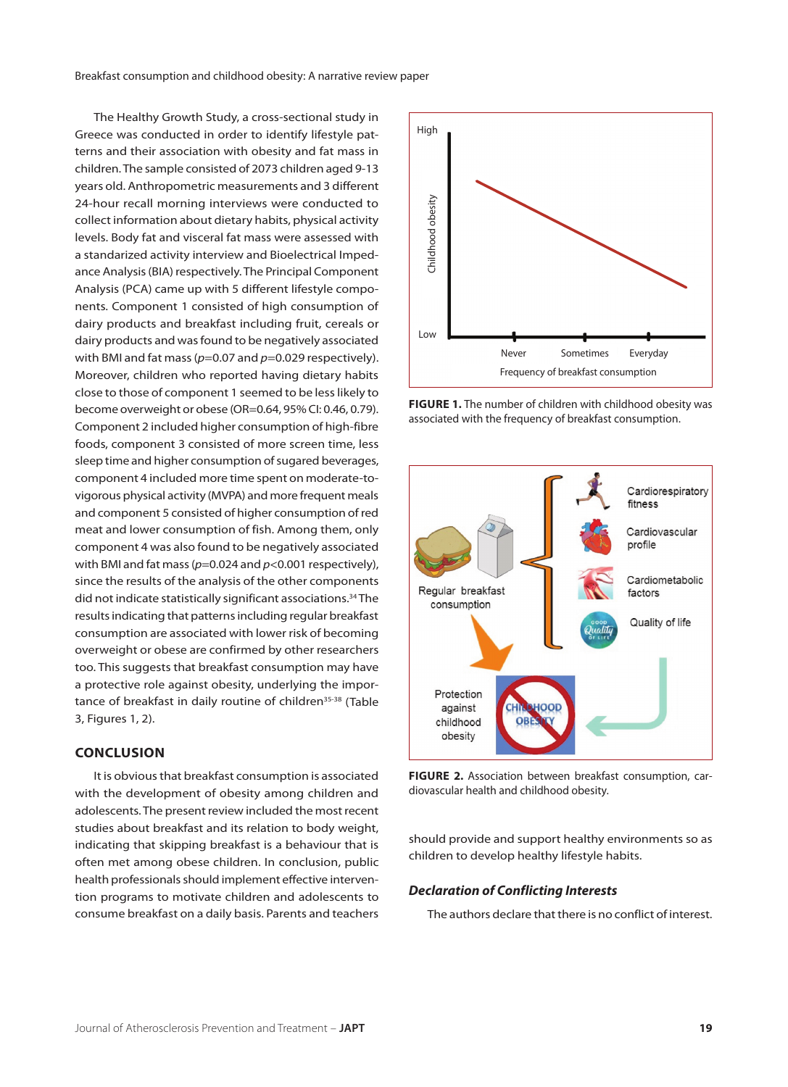Breakfast consumption and childhood obesity: A narrative review paper

The Healthy Growth Study, a cross-sectional study in Greece was conducted in order to identify lifestyle patterns and their association with obesity and fat mass in children. The sample consisted of 2073 children aged 9-13 years old. Anthropometric measurements and 3 different 24-hour recall morning interviews were conducted to collect information about dietary habits, physical activity levels. Body fat and visceral fat mass were assessed with a standarized activity interview and Bioelectrical Impedance Analysis (BIA) respectively. The Principal Component Analysis (PCA) came up with 5 different lifestyle components. Component 1 consisted of high consumption of dairy products and breakfast including fruit, cereals or dairy products and was found to be negatively associated with BMI and fat mass ( $p=0.07$  and  $p=0.029$  respectively). Moreover, children who reported having dietary habits close to those of component 1 seemed to be less likely to become overweight or obese (OR=0.64, 95% CI: 0.46, 0.79). Component 2 included higher consumption of high-fibre foods, component 3 consisted of more screen time, less sleep time and higher consumption of sugared beverages, component 4 included more time spent on moderate-tovigorous physical activity (MVPA) and more frequent meals and component 5 consisted of higher consumption of red meat and lower consumption of fish. Among them, only component 4 was also found to be negatively associated with BMI and fat mass ( $p=0.024$  and  $p<0.001$  respectively), since the results of the analysis of the other components did not indicate statistically significant associations.<sup>34</sup> The results indicating that patterns including regular breakfast consumption are associated with lower risk of becoming overweight or obese are confirmed by other researchers too. This suggests that breakfast consumption may have a protective role against obesity, underlying the importance of breakfast in daily routine of children<sup>35-38</sup> (Table 3, Figures 1, 2).

#### **Conclusion**

It is obvious that breakfast consumption is associated with the development of obesity among children and adolescents. The present review included the most recent studies about breakfast and its relation to body weight, indicating that skipping breakfast is a behaviour that is often met among obese children. In conclusion, public health professionals should implement effective intervention programs to motivate children and adolescents to consume breakfast on a daily basis. Parents and teachers



FIGURE 1. The number of children with childhood obesity was associated with the frequency of breakfast consumption.



**FIGURE 2.** Association between breakfast consumption, car-

should provide and support healthy environments so as children to develop healthy lifestyle habits.

#### *Declaration of Conflicting Interests*

The authors declare that there is no conflict of interest.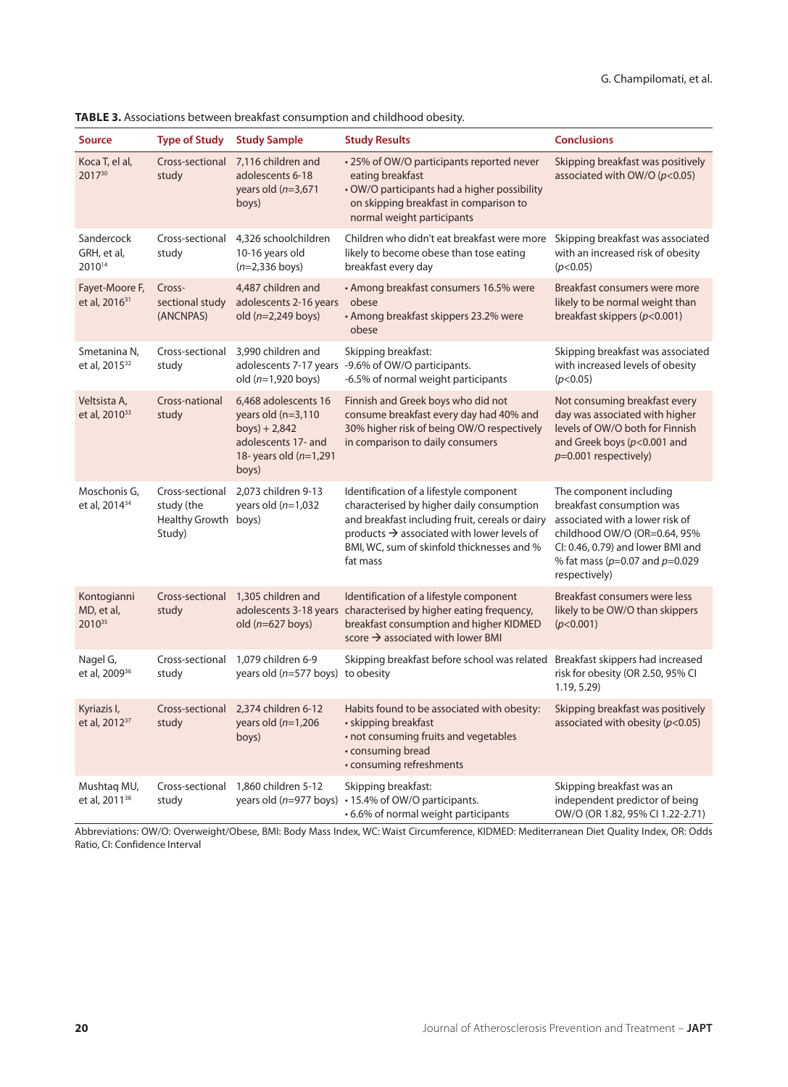| <b>Source</b>                               | <b>Type of Study</b>                                            | <b>Study Sample</b>                                                                                                           | <b>Study Results</b>                                                                                                                                                                                                                                        | <b>Conclusions</b>                                                                                                                                                                                                   |
|---------------------------------------------|-----------------------------------------------------------------|-------------------------------------------------------------------------------------------------------------------------------|-------------------------------------------------------------------------------------------------------------------------------------------------------------------------------------------------------------------------------------------------------------|----------------------------------------------------------------------------------------------------------------------------------------------------------------------------------------------------------------------|
| Koca T, el al,<br>201730                    | Cross-sectional<br>study                                        | 7,116 children and<br>adolescents 6-18<br>years old $(n=3,671)$<br>boys)                                                      | • 25% of OW/O participants reported never<br>eating breakfast<br>• OW/O participants had a higher possibility<br>on skipping breakfast in comparison to<br>normal weight participants                                                                       | Skipping breakfast was positively<br>associated with OW/O ( $p$ <0.05)                                                                                                                                               |
| Sandercock<br>GRH, et al,<br>201014         | Cross-sectional<br>study                                        | 4,326 schoolchildren<br>10-16 years old<br>$(n=2,336$ boys)                                                                   | Children who didn't eat breakfast were more<br>likely to become obese than tose eating<br>breakfast every day                                                                                                                                               | Skipping breakfast was associated<br>with an increased risk of obesity<br>(p<0.05)                                                                                                                                   |
| Fayet-Moore F,<br>et al, 2016 <sup>31</sup> | Cross-<br>sectional study<br>(ANCNPAS)                          | 4,487 children and<br>adolescents 2-16 years<br>old $(n=2,249$ boys)                                                          | • Among breakfast consumers 16.5% were<br>obese<br>• Among breakfast skippers 23.2% were<br>obese                                                                                                                                                           | Breakfast consumers were more<br>likely to be normal weight than<br>breakfast skippers ( $p$ <0.001)                                                                                                                 |
| Smetanina N,<br>et al, 2015 <sup>32</sup>   | Cross-sectional<br>study                                        | 3,990 children and<br>old $(n=1,920$ boys)                                                                                    | Skipping breakfast:<br>adolescents 7-17 years -9.6% of OW/O participants.<br>-6.5% of normal weight participants                                                                                                                                            | Skipping breakfast was associated<br>with increased levels of obesity<br>(p<0.05)                                                                                                                                    |
| Veltsista A,<br>et al, 2010 <sup>33</sup>   | Cross-national<br>study                                         | 6,468 adolescents 16<br>years old $(n=3,110)$<br>$boys$ ) + 2,842<br>adolescents 17- and<br>18-years old $(n=1,291)$<br>boys) | Finnish and Greek boys who did not<br>consume breakfast every day had 40% and<br>30% higher risk of being OW/O respectively<br>in comparison to daily consumers                                                                                             | Not consuming breakfast every<br>day was associated with higher<br>levels of OW/O both for Finnish<br>and Greek boys ( $p$ <0.001 and<br>$p=0.001$ respectively)                                                     |
| Moschonis G,<br>et al, 2014 <sup>34</sup>   | Cross-sectional<br>study (the<br>Healthy Growth boys)<br>Study) | 2,073 children 9-13<br>years old $(n=1,032)$                                                                                  | Identification of a lifestyle component<br>characterised by higher daily consumption<br>and breakfast including fruit, cereals or dairy<br>products $\rightarrow$ associated with lower levels of<br>BMI, WC, sum of skinfold thicknesses and %<br>fat mass | The component including<br>breakfast consumption was<br>associated with a lower risk of<br>childhood OW/O (OR=0.64, 95%<br>CI: 0.46, 0.79) and lower BMI and<br>% fat mass ( $p=0.07$ and $p=0.029$<br>respectively) |
| Kontogianni<br>MD, et al,<br>201035         | Cross-sectional<br>study                                        | 1,305 children and<br>old $(n=627$ boys)                                                                                      | Identification of a lifestyle component<br>adolescents 3-18 years characterised by higher eating frequency,<br>breakfast consumption and higher KIDMED<br>score $\rightarrow$ associated with lower BMI                                                     | Breakfast consumers were less<br>likely to be OW/O than skippers<br>(p<0.001)                                                                                                                                        |
| Nagel G,<br>et al, 2009 <sup>36</sup>       | Cross-sectional<br>study                                        | 1,079 children 6-9<br>years old ( $n=577$ boys) to obesity                                                                    | Skipping breakfast before school was related Breakfast skippers had increased                                                                                                                                                                               | risk for obesity (OR 2.50, 95% CI<br>1.19, 5.29                                                                                                                                                                      |
| Kyriazis I,<br>et al, 2012 <sup>37</sup>    | Cross-sectional<br>study                                        | 2,374 children 6-12<br>years old $(n=1,206)$<br>boys)                                                                         | Habits found to be associated with obesity:<br>• skipping breakfast<br>· not consuming fruits and vegetables<br>• consuming bread<br>• consuming refreshments                                                                                               | Skipping breakfast was positively<br>associated with obesity ( $p$ <0.05)                                                                                                                                            |
| Mushtag MU,<br>et al, 2011 <sup>38</sup>    | Cross-sectional<br>study                                        | 1,860 children 5-12                                                                                                           | Skipping breakfast:<br>years old ( $n=977$ boys) $\cdot$ 15.4% of OW/O participants.<br>• 6.6% of normal weight participants                                                                                                                                | Skipping breakfast was an<br>independent predictor of being<br>OW/O (OR 1.82, 95% CI 1.22-2.71)                                                                                                                      |

**Table 3.** Associations between breakfast consumption and childhood obesity.

Abbreviations: OW/O: Overweight/Obese, BMI: Body Mass Index, WC: Waist Circumference, KIDMED: Mediterranean Diet Quality Index, OR: Odds Ratio, CI: Confidence Interval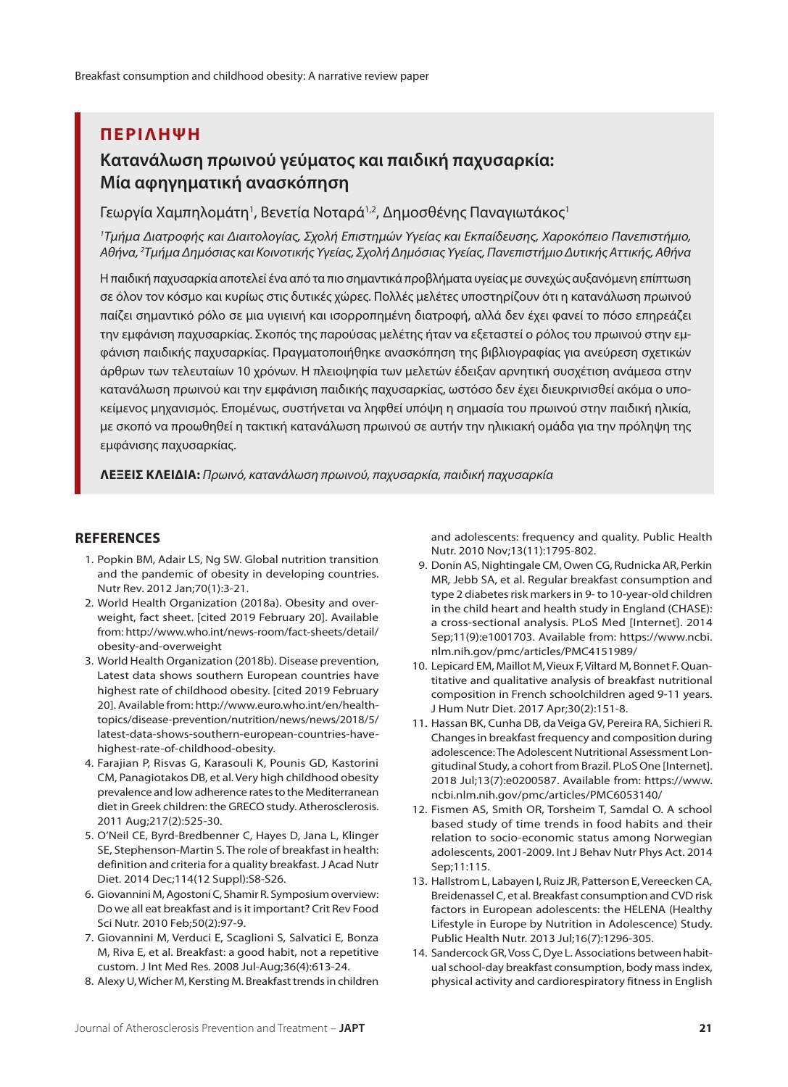## **ΠΕΡΙΛΗΨΗ**

# **Κατανάλωση πρωινού γεύματος και παιδική παχυσαρκία: Μία αφηγηματική ανασκόπηση**

Γεωργία Χαμπηλομάτη<sup>1</sup>, Βενετία Νοταρά<sup>1,2</sup>, Δημοσθένης Παναγιωτάκος<sup>1</sup>

*1 Τμήμα Διατροφής και Διαιτολογίας, Σχολή Επιστημών Υγείας και Εκπαίδευσης, Χαροκόπειο Πανεπιστήμιο, Αθήνα, 2 Τμήμα Δημόσιας και Κοινοτικής Υγείας, Σχολή Δημόσιας Υγείας, Πανεπιστήμιο Δυτικής Αττικής, Αθήνα*

Η παιδική παχυσαρκία αποτελεί ένα από τα πιο σημαντικά προβλήματα υγείας με συνεχώς αυξανόμενη επίπτωση σε όλον τον κόσμο και κυρίως στις δυτικές χώρες. Πολλές μελέτες υποστηρίζουν ότι η κατανάλωση πρωινού παίζει σημαντικό ρόλο σε μια υγιεινή και ισορροπημένη διατροφή, αλλά δεν έχει φανεί το πόσο επηρεάζει την εμφάνιση παχυσαρκίας. Σκοπός της παρούσας μελέτης ήταν να εξεταστεί ο ρόλος του πρωινού στην εμφάνιση παιδικής παχυσαρκίας. Πραγματοποιήθηκε ανασκόπηση της βιβλιογραφίας για ανεύρεση σχετικών άρθρων των τελευταίων 10 χρόνων. Η πλειοψηφία των μελετών έδειξαν αρνητική συσχέτιση ανάμεσα στην κατανάλωση πρωινού και την εμφάνιση παιδικής παχυσαρκίας, ωστόσο δεν έχει διευκρινισθεί ακόμα ο υποκείμενος μηχανισμός. Επομένως, συστήνεται να ληφθεί υπόψη η σημασία του πρωινού στην παιδική ηλικία, με σκοπό να προωθηθεί η τακτική κατανάλωση πρωινού σε αυτήν την ηλικιακή ομάδα για την πρόληψη της εμφάνισης παχυσαρκίας.

**ΛΕξΕΙς κΛΕΙδΙά:** *Πρωινό, κατανάλωση πρωινού, παχυσαρκία, παιδική παχυσαρκία*

## **References**

- 1. Popkin BM, Adair LS, Ng SW. Global nutrition transition and the pandemic of obesity in developing countries. Nutr Rev. 2012 Jan;70(1):3-21.
- 2. World Health Organization (2018a). Obesity and overweight, fact sheet. [cited 2019 February 20]. Available from: http://www.who.int/news-room/fact-sheets/detail/ obesity-and-overweight
- 3. World Health Organization (2018b). Disease prevention, Latest data shows southern European countries have highest rate of childhood obesity. [cited 2019 February 20]. Available from: http://www.euro.who.int/en/healthtopics/disease-prevention/nutrition/news/news/2018/5/ latest-data-shows-southern-european-countries-havehighest-rate-of-childhood-obesity.
- 4. Farajian P, Risvas G, Karasouli K, Pounis GD, Kastorini CM, Panagiotakos DB, et al. Very high childhood obesity prevalence and low adherence rates to the Mediterranean diet in Greek children: the GRECO study. Atherosclerosis. 2011 Aug;217(2):525-30.
- 5. O'Neil CE, Byrd-Bredbenner C, Hayes D, Jana L, Klinger SE, Stephenson-Martin S. The role of breakfast in health: definition and criteria for a quality breakfast. J Acad Nutr Diet. 2014 Dec;114(12 Suppl):S8-S26.
- 6. Giovannini M, Agostoni C, Shamir R. Symposium overview: Do we all eat breakfast and is it important? Crit Rev Food Sci Nutr. 2010 Feb;50(2):97-9.
- 7. Giovannini M, Verduci E, Scaglioni S, Salvatici E, Bonza M, Riva E, et al. Breakfast: a good habit, not a repetitive custom. J Int Med Res. 2008 Jul-Aug;36(4):613-24.
- 8. Alexy U, Wicher M, Kersting M. Breakfast trends in children

and adolescents: frequency and quality. Public Health Nutr. 2010 Nov;13(11):1795-802.

- 9. Donin AS, Nightingale CM, Owen CG, Rudnicka AR, Perkin MR, Jebb SA, et al. Regular breakfast consumption and type 2 diabetes risk markers in 9- to 10-year-old children in the child heart and health study in England (CHASE): a cross-sectional analysis. PLoS Med [Internet]. 2014 Sep;11(9):e1001703. Available from: https://www.ncbi. nlm.nih.gov/pmc/articles/PMC4151989/
- 10. Lepicard EM, Maillot M, Vieux F, Viltard M, Bonnet F. Quantitative and qualitative analysis of breakfast nutritional composition in French schoolchildren aged 9-11 years. J Hum Nutr Diet. 2017 Apr;30(2):151-8.
- 11. Hassan BK, Cunha DB, da Veiga GV, Pereira RA, Sichieri R. Changes in breakfast frequency and composition during adolescence: The Adolescent Nutritional Assessment Longitudinal Study, a cohort from Brazil. PLoS One [Internet]. 2018 Jul;13(7):e0200587. Available from: https://www. ncbi.nlm.nih.gov/pmc/articles/PMC6053140/
- 12. Fismen AS, Smith OR, Torsheim T, Samdal O. A school based study of time trends in food habits and their relation to socio-economic status among Norwegian adolescents, 2001-2009. Int J Behav Nutr Phys Act. 2014 Sep;11:115.
- 13. Hallstrom L, Labayen I, Ruiz JR, Patterson E, Vereecken CA, Breidenassel C, et al. Breakfast consumption and CVD risk factors in European adolescents: the HELENA (Healthy Lifestyle in Europe by Nutrition in Adolescence) Study. Public Health Nutr. 2013 Jul;16(7):1296-305.
- 14. Sandercock GR, Voss C, Dye L. Associations between habitual school-day breakfast consumption, body mass index, physical activity and cardiorespiratory fitness in English